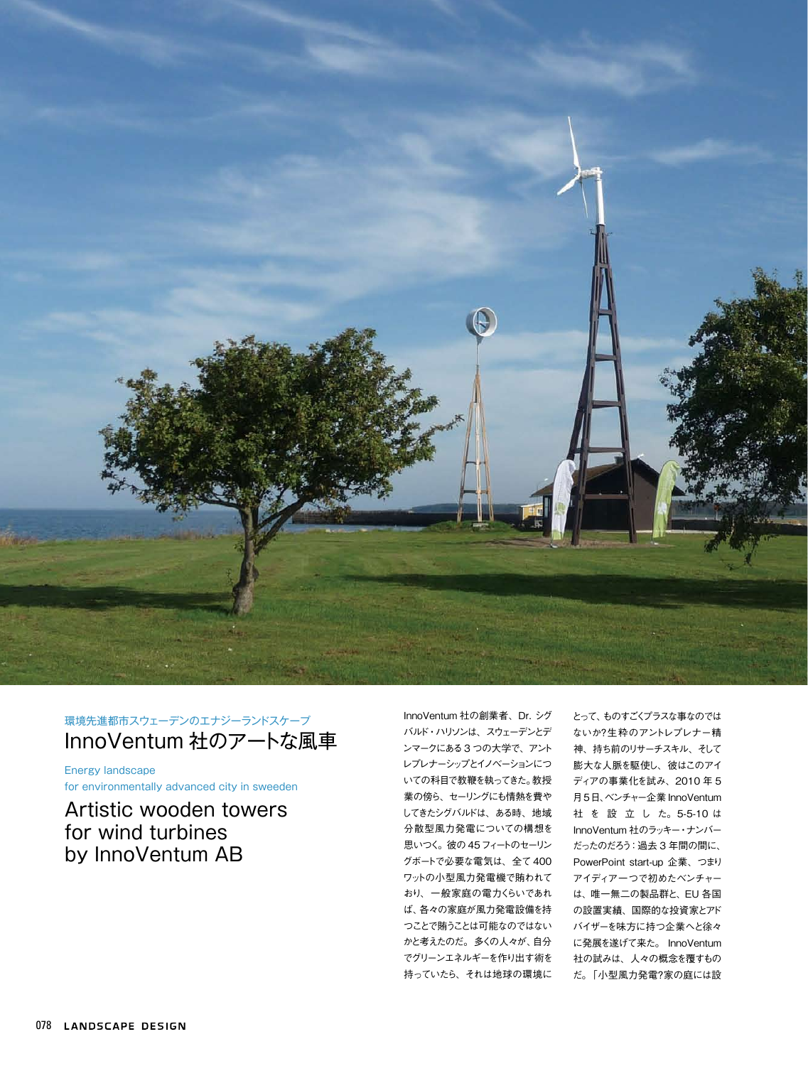

## 環境先進都市スウェーデンのエナジーランドスケープ InnoVentum 社のアートな風車

Energy landscape for environmentally advanced city in sweeden

# Artistic wooden towers for wind turbines by InnoVentum AB

InnoVentum 社の創業者、Dr. シグ バルド・ハリソンは、スウェーデンとデ ンマークにある3 つの大学で、アント レプレナーシップとイノベーションにつ いての科目で教鞭を執ってきた。教授 業の傍ら、セーリングにも情熱を費や してきたシグバルドは、ある時、地域 分散型風力発電についての構想を 思いつく。彼の 45フィートのセーリン グボートで必要な電気は、全て 400 ワットの小型風力発電機で賄われて おり、一般家庭の電力くらいであれ ば、各々の家庭が風力発電設備を持 つことで賄うことは可能なのではない かと考えたのだ。多くの人々が、自分 でグリーンエネルギーを作り出す術を 持っていたら、それは地球の環境に

とって、ものすごくプラスな事なのでは ないか?生粋のアントレプレナー精 神、持ち前のリサーチスキル、そして 膨大な人脈を駆使し、彼はこのアイ ディアの事業化を試み、2010 年 5 月5日、ベンチャー企業 InnoVentum 社 を 設 立 し た。5-5-10 は InnoVentum 社のラッキー・ナンバー だったのだろう:過去 3 年間の間に、 PowerPoint start-up 企業、つまり アイディア一つで初めたベンチャー は、唯一無二の製品群と、EU 各国 の設置実績、国際的な投資家とアド バイザーを味方に持つ企業へと徐々 に発展を遂げて来た。 InnoVentum 社の試みは、人々の概念を覆すもの だ。「小型風力発電?家の庭には設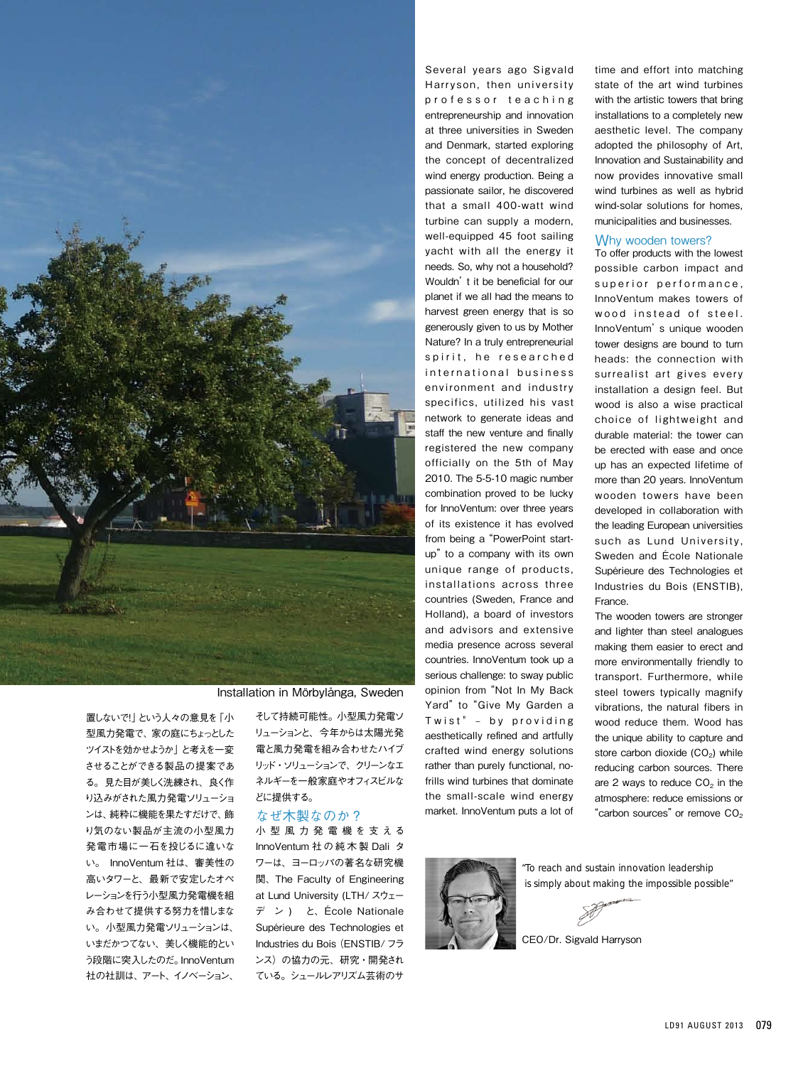

Installation in Mörbylånga, Sweden

置しないで!」という人々の意見を「小 型風力発電で、家の庭にちょっとした ツイストを効かせようか」と考えを一変 させることができる製品の提案であ る。見た目が美しく洗練され、良く作 り込みがされた風力発電ソリューショ ンは、純粋に機能を果たすだけで、飾 り気のない製品が主流の小型風力 発電市場に一石を投じるに違いな い。 InnoVentum 社は、審美性の 高いタワーと、最新で安定したオペ レーションを行う小型風力発電機を組 み合わせて提供する努力を惜しまな い。小型風力発電ソリューションは、 いまだかつてない、美しく機能的とい う段階に突入したのだ。InnoVentum 社の社訓は、アート、イノベーション、

そして持続可能性。小型風力発電ソ リューションと、今年からは太陽光発 電と風力発電を組み合わせたハイブ リッド・ソリューションで、クリーンなエ ネルギーを一般家庭やオフィスビルな どに提供する。

### なぜ木製なのか?

小 型 風 力 発 電 機 を 支 え る InnoVentum 社 の 純 木 製 Dali タ ワーは、ヨーロッパの著名な研究機 関、 The Faculty of Engineering at Lund University (LTH/ スウェー デ ン ) と、École Nationale Supérieure des Technologies et Industries du Bois(ENSTIB/フラ ンス)の協力の元、研究・開発され ている。シュールレアリズム芸術のサ

Several years ago Sigvald Harryson, then university professor teaching entrepreneurship and innovation at three universities in Sweden and Denmark, started exploring the concept of decentralized wind energy production. Being a passionate sailor, he discovered that a small 400-watt wind turbine can supply a modern, well-equipped 45 foot sailing yacht with all the energy it needs. So, why not a household? Wouldn't it be beneficial for our planet if we all had the means to harvest green energy that is so generously given to us by Mother Nature? In a truly entrepreneurial spirit, he researched international business environment and industry specifics, utilized his vast network to generate ideas and staff the new venture and finally registered the new company officially on the 5th of May 2010. The 5-5-10 magic number combination proved to be lucky for InnoVentum: over three years of its existence it has evolved from being a "PowerPoint startup" to a company with its own unique range of products, installations across three countries (Sweden, France and Holland), a board of investors and advisors and extensive media presence across several countries. InnoVentum took up a serious challenge: to sway public opinion from "Not In My Back Yard" to "Give My Garden a Twist" - by providing aesthetically refined and artfully crafted wind energy solutions rather than purely functional, nofrills wind turbines that dominate the small-scale wind energy market. InnoVentum puts a lot of

time and effort into matching state of the art wind turbines with the artistic towers that bring installations to a completely new aesthetic level. The company adopted the philosophy of Art, Innovation and Sustainability and now provides innovative small wind turbines as well as hybrid wind-solar solutions for homes, municipalities and businesses.

#### Why wooden towers?

To offer products with the lowest possible carbon impact and superior performance, InnoVentum makes towers of wood instead of steel. InnoVentum's unique wooden tower designs are bound to turn heads: the connection with surrealist art gives every installation a design feel. But wood is also a wise practical choice of lightweight and durable material: the tower can be erected with ease and once up has an expected lifetime of more than 20 years. InnoVentum wooden towers have been developed in collaboration with the leading European universities such as Lund University, Sweden and École Nationale Supérieure des Technologies et Industries du Bois (ENSTIB), France.

The wooden towers are stronger and lighter than steel analogues making them easier to erect and more environmentally friendly to transport. Furthermore, while steel towers typically magnify vibrations, the natural fibers in wood reduce them. Wood has the unique ability to capture and store carbon dioxide  $(CO<sub>2</sub>)$  while reducing carbon sources. There are 2 ways to reduce  $CO<sub>2</sub>$  in the atmosphere: reduce emissions or "carbon sources" or remove CO<sub>2</sub>



"To reach and sustain innovation leadership is simply about making the impossible possible"

CEO/Dr. Sigvald Harryson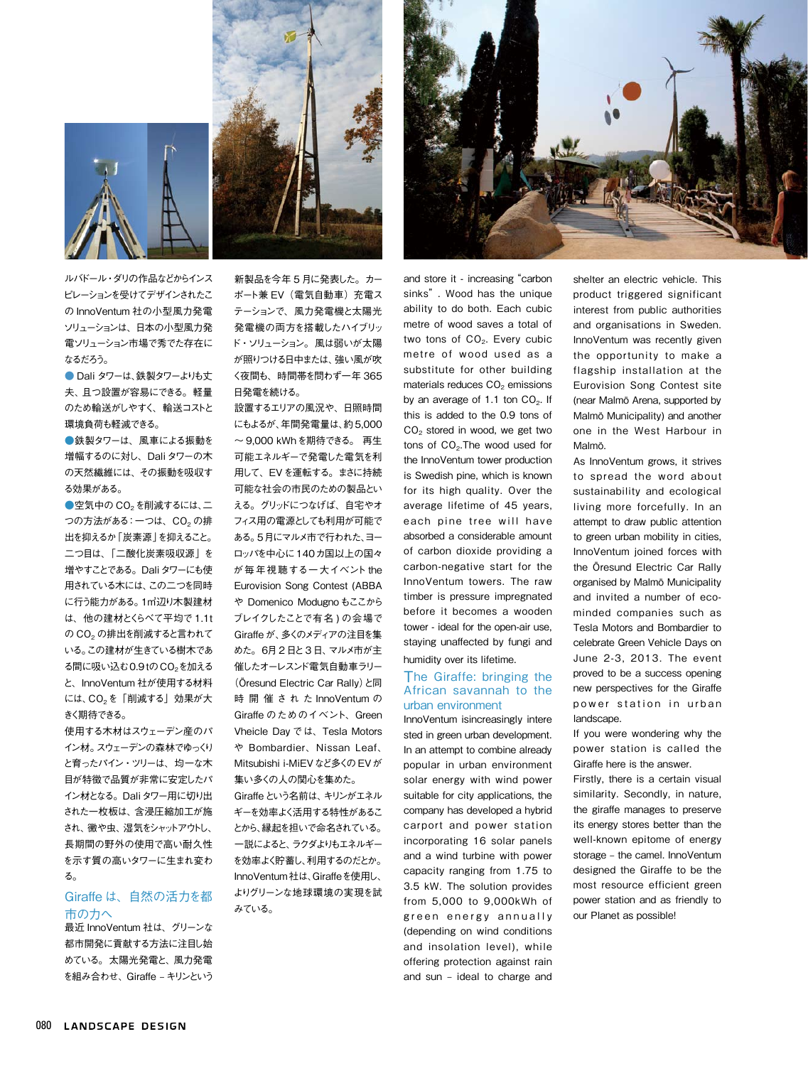

ルバドール・ダリの作品などからインス ピレーションを受けてデザインされたこ の InnoVentum 社の小型風力発電 ソリューションは、日本の小型風力発 電ソリューション市場で秀でた存在に なるだろう。

● Dali タワーは、鉄製タワーよりも丈 夫、且つ設置が容易にできる。軽量 のため輸送がしやすく、輸送コストと 環境負荷も軽減できる。

●鉄製タワーは、風車による振動を 増幅するのに対し、Daliタワーの木 の天然繊維には、その振動を吸収す る効果がある。

●空気中の CO<sub>2</sub>を削減するには、二 つの方法がある: 一つは、CO<sub>2</sub> の排 出を抑えるか「炭素源」を抑えること。 二つ目は、「二酸化炭素吸収源」を 増やすことである。Daliタワーにも使 用されている木には、この二つを同時 に行う能力がある。1㎥辺り木製建材 は、他の建材とくらべて平均で 1.1t の CO<sub>2</sub> の排出を削減すると言われて いる。この建材が生きている樹木であ る間に吸い込む0.9tの CO<sub>2</sub>を加える と、InnoVentum 社が使用する材料 には、CO2を「削減する」効果が大 きく期待できる。

使用する木材はスウェーデン産のパ イン材。スウェーデンの森林でゆっくり と育ったパイン・ツリーは、均一な木 目が特徴で品質が非常に安定したパ イン材となる。Daliタワー用に切り出 された一枚板は、含浸圧縮加工が施 され、黴や虫、湿気をシャットアウトし、 長期間の野外の使用で高い耐久性 を示す質の高いタワーに生まれ変わ る。

## Giraffe は、自然の活力を都 市の力へ

最近 InnoVentum 社は、グリーンな 都市開発に貢献する方法に注目し始 めている。太陽光発電と、風力発電 を組み合わせ、Giraffe – キリンという

新製品を今年 5 月に発表した。カー ポート兼 EV(電気自動車) 充電ス テーションで、風力発電機と太陽光 発電機の両方を搭載したハイブリッ ド・ソリューション。風は弱いが太陽 が照りつける日中または、強い風が吹 く夜間も、時間帯を問わず一年 365 日発電を続ける。

設置するエリアの風況や、日照時間 にもよるが、年間発電量は、約5,000 〜 9,000 kWhを期待できる。 再生 可能エネルギーで発電した電気を利 用して、EVを運転する。まさに持続 可能な社会の市民のための製品とい える。グリッドにつなげば、自宅やオ フィス用の電源としても利用が可能で ある。5月にマルメ市で行われた、ヨー ロッパを中心に140カ国以上の国々 が毎年視聴する一大イベント the Eurovision Song Contest (ABBA や Domenico Modugnoもここから ブレイクしたことで有名 ) の会場で Giraffe が、多くのメディアの注目を集 めた。6月2 日と3 日、マルメ市が主 催したオーレスンド電気自動車ラリー (Öresund Electric Car Rally)と同 時 開 催 さ れ た InnoVentum の Giraffe のためのイベント、Green Vheicle Day では、Tesla Motors や Bombardier、Nissan Leaf、 Mitsubishi i-MiEVなど多くのEVが 集い多くの人の関心を集めた。

Giraffeという名前は、キリンがエネル ギーを効率よく活用する特性があるこ とから、縁起を担いで命名されている。 一説によると、ラクダよりもエネルギー を効率よく貯蓄し、利用するのだとか。 InnoVentum社は、Giraffeを使用し、 よりグリーンな地球環境の実現を試 みている。



and store it - increasing "carbon sinks". Wood has the unique ability to do both. Each cubic metre of wood saves a total of two tons of CO<sub>2</sub>. Every cubic metre of wood used as a substitute for other building materials reduces CO<sub>2</sub> emissions by an average of 1.1 ton  $CO<sub>2</sub>$ . If this is added to the 0.9 tons of CO2 stored in wood, we get two tons of  $CO<sub>2</sub>$ . The wood used for the InnoVentum tower production is Swedish pine, which is known for its high quality. Over the average lifetime of 45 years, each pine tree will have absorbed a considerable amount of carbon dioxide providing a carbon-negative start for the InnoVentum towers. The raw timber is pressure impregnated before it becomes a wooden tower - ideal for the open-air use, staying unaffected by fungi and humidity over its lifetime.

## The Giraffe: bringing the African savannah to the urban environment

InnoVentum isincreasingly intere sted in green urban development. In an attempt to combine already popular in urban environment solar energy with wind power suitable for city applications, the company has developed a hybrid carport and power station incorporating 16 solar panels and a wind turbine with power capacity ranging from 1.75 to 3.5 kW. The solution provides from 5,000 to 9,000kWh of green energy annually (depending on wind conditions and insolation level), while offering protection against rain and sun – ideal to charge and

shelter an electric vehicle. This product triggered significant interest from public authorities and organisations in Sweden. InnoVentum was recently given the opportunity to make a flagship installation at the Eurovision Song Contest site (near Malmö Arena, supported by Malmö Municipality) and another one in the West Harbour in Malmö.

As InnoVentum grows, it strives to spread the word about sustainability and ecological living more forcefully. In an attempt to draw public attention to green urban mobility in cities, InnoVentum joined forces with the Öresund Electric Car Rally organised by Malmö Municipality and invited a number of ecominded companies such as Tesla Motors and Bombardier to celebrate Green Vehicle Days on June 2-3, 2013. The event proved to be a success opening new perspectives for the Giraffe power station in urban landscape

If you were wondering why the power station is called the Giraffe here is the answer.

Firstly, there is a certain visual similarity. Secondly, in nature, the giraffe manages to preserve its energy stores better than the well-known epitome of energy storage – the camel. InnoVentum designed the Giraffe to be the most resource efficient green power station and as friendly to our Planet as possible!